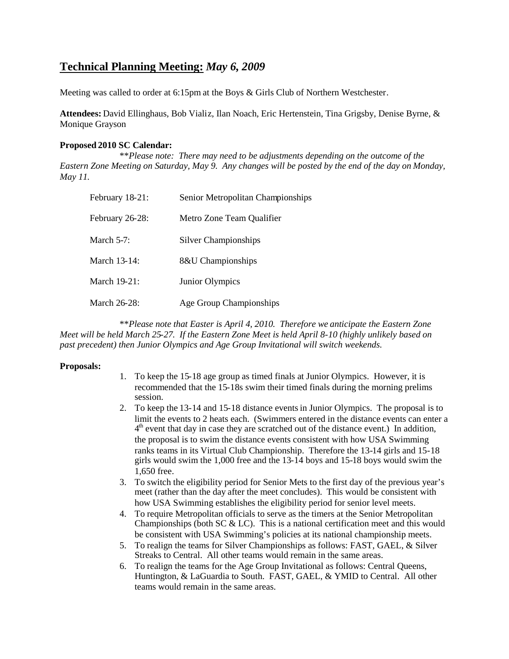# **Technical Planning Meeting:** *May 6, 2009*

Meeting was called to order at 6:15pm at the Boys & Girls Club of Northern Westchester.

**Attendees:** David Ellinghaus, Bob Vializ, Ilan Noach, Eric Hertenstein, Tina Grigsby, Denise Byrne, & Monique Grayson

### **Proposed 2010 SC Calendar:**

\*\**Please note: There may need to be adjustments depending on the outcome of the Eastern Zone Meeting on Saturday, May 9. Any changes will be posted by the end of the day on Monday, May 11.*

| February 18-21: | Senior Metropolitan Championships |
|-----------------|-----------------------------------|
| February 26-28: | Metro Zone Team Qualifier         |
| March $5-7$ :   | Silver Championships              |
| March 13-14:    | 8&U Championships                 |
| March 19-21:    | Junior Olympics                   |
| March 26-28:    | Age Group Championships           |

\*\**Please note that Easter is April 4, 2010. Therefore we anticipate the Eastern Zone Meet will be held March 25-27. If the Eastern Zone Meet is held April 8-10 (highly unlikely based on past precedent) then Junior Olympics and Age Group Invitational will switch weekends.*

#### **Proposals:**

- 1. To keep the 15-18 age group as timed finals at Junior Olympics. However, it is recommended that the 15-18s swim their timed finals during the morning prelims session.
- 2. To keep the 13-14 and 15-18 distance eventsin Junior Olympics. The proposal is to limit the events to 2 heats each. (Swimmers entered in the distance events can enter a  $4<sup>th</sup>$  event that day in case they are scratched out of the distance event.) In addition, the proposal is to swim the distance events consistent with how USA Swimming ranks teams in its Virtual Club Championship. Therefore the 13-14 girls and 15-18 girls would swim the 1,000 free and the 13-14 boys and 15-18 boys would swim the 1,650 free.
- 3. To switch the eligibility period for Senior Mets to the first day of the previous year's meet (rather than the day after the meet concludes). This would be consistent with how USA Swimming establishes the eligibility period for senior level meets.
- 4. To require Metropolitan officials to serve as the timers at the Senior Metropolitan Championships (both SC  $& LC$ ). This is a national certification meet and this would be consistent with USA Swimming's policies at its national championship meets.
- 5. To realign the teams for Silver Championships as follows: FAST, GAEL, & Silver Streaks to Central. All other teams would remain in the same areas.
- 6. To realign the teams for the Age Group Invitational as follows: Central Queens, Huntington, & LaGuardia to South. FAST, GAEL, & YMID to Central. All other teams would remain in the same areas.